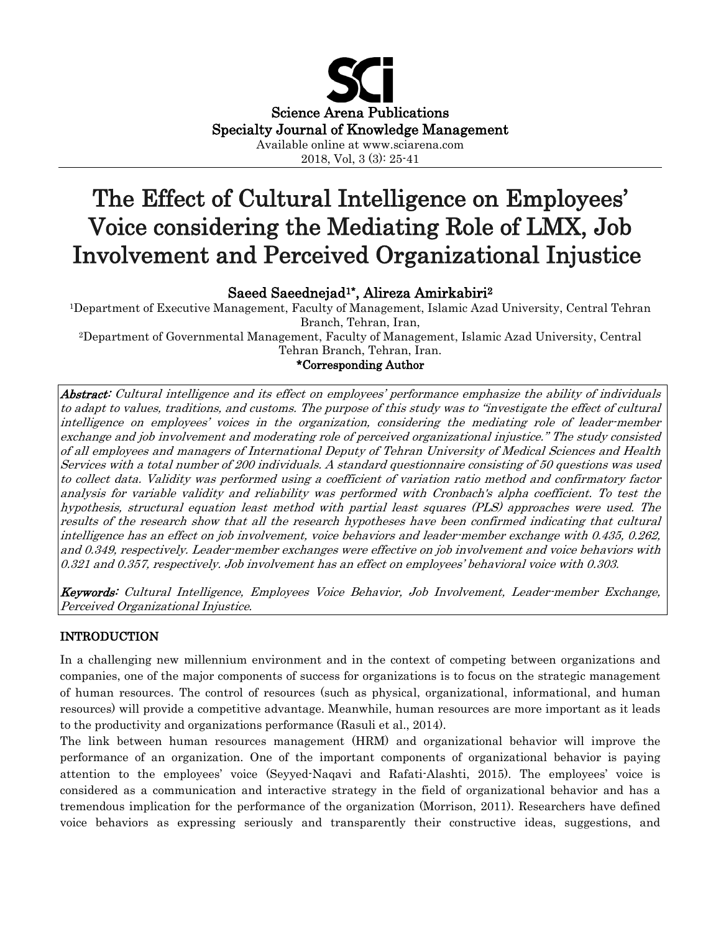

2018, Vol, 3 (3): 25-41

# The Effect of Cultural Intelligence on Employees' Voice considering the Mediating Role of LMX, Job Involvement and Perceived Organizational Injustice

# Saeed Saeednejad1\*, Alireza Amirkabiri2

1Department of Executive Management, Faculty of Management, Islamic Azad University, Central Tehran Branch, Tehran, Iran,

2Department of Governmental Management, Faculty of Management, Islamic Azad University, Central Tehran Branch, Tehran, Iran.

# \*Corresponding Author

Abstract: Cultural intelligence and its effect on employees' performance emphasize the ability of individuals to adapt to values, traditions, and customs. The purpose of this study was to "investigate the effect of cultural intelligence on employees' voices in the organization, considering the mediating role of leader-member exchange and job involvement and moderating role of perceived organizational injustice." The study consisted of all employees and managers of International Deputy of Tehran University of Medical Sciences and Health Services with a total number of 200 individuals. A standard questionnaire consisting of 50 questions was used to collect data. Validity was performed using a coefficient of variation ratio method and confirmatory factor analysis for variable validity and reliability was performed with Cronbach's alpha coefficient. To test the hypothesis, structural equation least method with partial least squares (PLS) approaches were used. The results of the research show that all the research hypotheses have been confirmed indicating that cultural intelligence has an effect on job involvement, voice behaviors and leader-member exchange with 0.435, 0.262, and 0.349, respectively. Leader-member exchanges were effective on job involvement and voice behaviors with 0.321 and 0.357, respectively. Job involvement has an effect on employees' behavioral voice with 0.303.

Keywords: Cultural Intelligence, Employees Voice Behavior, Job Involvement, Leader-member Exchange, Perceived Organizational Injustice.

## INTRODUCTION

In a challenging new millennium environment and in the context of competing between organizations and companies, one of the major components of success for organizations is to focus on the strategic management of human resources. The control of resources (such as physical, organizational, informational, and human resources) will provide a competitive advantage. Meanwhile, human resources are more important as it leads to the productivity and organizations performance (Rasuli et al., 2014).

The link between human resources management (HRM) and organizational behavior will improve the performance of an organization. One of the important components of organizational behavior is paying attention to the employees' voice (Seyyed-Naqavi and Rafati-Alashti, 2015). The employees' voice is considered as a communication and interactive strategy in the field of organizational behavior and has a tremendous implication for the performance of the organization (Morrison, 2011). Researchers have defined voice behaviors as expressing seriously and transparently their constructive ideas, suggestions, and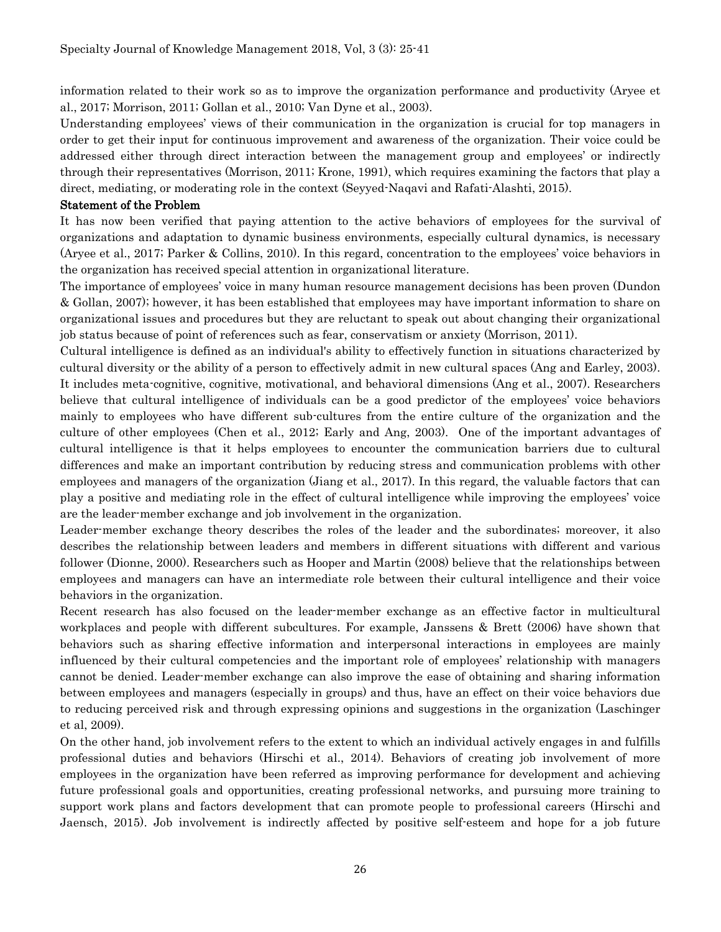information related to their work so as to improve the organization performance and productivity (Aryee et al., 2017; Morrison, 2011; Gollan et al., 2010; Van Dyne et al., 2003).

Understanding employees' views of their communication in the organization is crucial for top managers in order to get their input for continuous improvement and awareness of the organization. Their voice could be addressed either through direct interaction between the management group and employees' or indirectly through their representatives (Morrison, 2011; Krone, 1991), which requires examining the factors that play a direct, mediating, or moderating role in the context (Seyyed-Naqavi and Rafati-Alashti, 2015).

#### Statement of the Problem

It has now been verified that paying attention to the active behaviors of employees for the survival of organizations and adaptation to dynamic business environments, especially cultural dynamics, is necessary (Aryee et al., 2017; Parker & Collins, 2010). In this regard, concentration to the employees' voice behaviors in the organization has received special attention in organizational literature.

The importance of employees' voice in many human resource management decisions has been proven (Dundon & Gollan, 2007); however, it has been established that employees may have important information to share on organizational issues and procedures but they are reluctant to speak out about changing their organizational job status because of point of references such as fear, conservatism or anxiety (Morrison, 2011).

Cultural intelligence is defined as an individual's ability to effectively function in situations characterized by cultural diversity or the ability of a person to effectively admit in new cultural spaces (Ang and Earley, 2003). It includes meta-cognitive, cognitive, motivational, and behavioral dimensions (Ang et al., 2007). Researchers believe that cultural intelligence of individuals can be a good predictor of the employees' voice behaviors mainly to employees who have different sub-cultures from the entire culture of the organization and the culture of other employees (Chen et al., 2012; Early and Ang, 2003). One of the important advantages of cultural intelligence is that it helps employees to encounter the communication barriers due to cultural differences and make an important contribution by reducing stress and communication problems with other employees and managers of the organization (Jiang et al., 2017). In this regard, the valuable factors that can play a positive and mediating role in the effect of cultural intelligence while improving the employees' voice are the leader-member exchange and job involvement in the organization.

Leader-member exchange theory describes the roles of the leader and the subordinates; moreover, it also describes the relationship between leaders and members in different situations with different and various follower (Dionne, 2000). Researchers such as Hooper and Martin (2008) believe that the relationships between employees and managers can have an intermediate role between their cultural intelligence and their voice behaviors in the organization.

Recent research has also focused on the leader-member exchange as an effective factor in multicultural workplaces and people with different subcultures. For example, Janssens & Brett (2006) have shown that behaviors such as sharing effective information and interpersonal interactions in employees are mainly influenced by their cultural competencies and the important role of employees' relationship with managers cannot be denied. Leader-member exchange can also improve the ease of obtaining and sharing information between employees and managers (especially in groups) and thus, have an effect on their voice behaviors due to reducing perceived risk and through expressing opinions and suggestions in the organization (Laschinger et al, 2009).

On the other hand, job involvement refers to the extent to which an individual actively engages in and fulfills professional duties and behaviors (Hirschi et al., 2014). Behaviors of creating job involvement of more employees in the organization have been referred as improving performance for development and achieving future professional goals and opportunities, creating professional networks, and pursuing more training to support work plans and factors development that can promote people to professional careers (Hirschi and Jaensch, 2015). Job involvement is indirectly affected by positive self-esteem and hope for a job future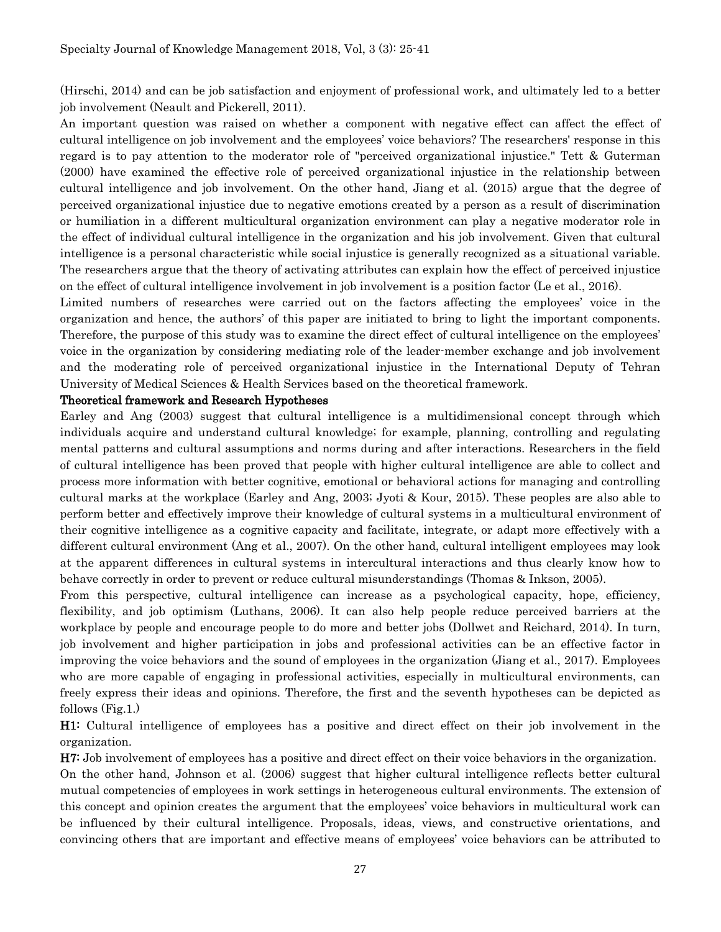(Hirschi, 2014) and can be job satisfaction and enjoyment of professional work, and ultimately led to a better job involvement (Neault and Pickerell, 2011).

An important question was raised on whether a component with negative effect can affect the effect of cultural intelligence on job involvement and the employees' voice behaviors? The researchers' response in this regard is to pay attention to the moderator role of "perceived organizational injustice." Tett & Guterman (2000) have examined the effective role of perceived organizational injustice in the relationship between cultural intelligence and job involvement. On the other hand, Jiang et al. (2015) argue that the degree of perceived organizational injustice due to negative emotions created by a person as a result of discrimination or humiliation in a different multicultural organization environment can play a negative moderator role in the effect of individual cultural intelligence in the organization and his job involvement. Given that cultural intelligence is a personal characteristic while social injustice is generally recognized as a situational variable. The researchers argue that the theory of activating attributes can explain how the effect of perceived injustice on the effect of cultural intelligence involvement in job involvement is a position factor (Le et al., 2016).

Limited numbers of researches were carried out on the factors affecting the employees' voice in the organization and hence, the authors' of this paper are initiated to bring to light the important components. Therefore, the purpose of this study was to examine the direct effect of cultural intelligence on the employees' voice in the organization by considering mediating role of the leader-member exchange and job involvement and the moderating role of perceived organizational injustice in the International Deputy of Tehran University of Medical Sciences & Health Services based on the theoretical framework.

#### Theoretical framework and Research Hypotheses

Earley and Ang (2003) suggest that cultural intelligence is a multidimensional concept through which individuals acquire and understand cultural knowledge; for example, planning, controlling and regulating mental patterns and cultural assumptions and norms during and after interactions. Researchers in the field of cultural intelligence has been proved that people with higher cultural intelligence are able to collect and process more information with better cognitive, emotional or behavioral actions for managing and controlling cultural marks at the workplace (Earley and Ang, 2003; Jyoti & Kour, 2015). These peoples are also able to perform better and effectively improve their knowledge of cultural systems in a multicultural environment of their cognitive intelligence as a cognitive capacity and facilitate, integrate, or adapt more effectively with a different cultural environment (Ang et al., 2007). On the other hand, cultural intelligent employees may look at the apparent differences in cultural systems in intercultural interactions and thus clearly know how to behave correctly in order to prevent or reduce cultural misunderstandings (Thomas & Inkson, 2005).

From this perspective, cultural intelligence can increase as a psychological capacity, hope, efficiency, flexibility, and job optimism (Luthans, 2006). It can also help people reduce perceived barriers at the workplace by people and encourage people to do more and better jobs (Dollwet and Reichard, 2014). In turn, job involvement and higher participation in jobs and professional activities can be an effective factor in improving the voice behaviors and the sound of employees in the organization (Jiang et al., 2017). Employees who are more capable of engaging in professional activities, especially in multicultural environments, can freely express their ideas and opinions. Therefore, the first and the seventh hypotheses can be depicted as follows (Fig.1.)

H1: Cultural intelligence of employees has a positive and direct effect on their job involvement in the organization.

H7: Job involvement of employees has a positive and direct effect on their voice behaviors in the organization. On the other hand, Johnson et al. (2006) suggest that higher cultural intelligence reflects better cultural mutual competencies of employees in work settings in heterogeneous cultural environments. The extension of this concept and opinion creates the argument that the employees' voice behaviors in multicultural work can be influenced by their cultural intelligence. Proposals, ideas, views, and constructive orientations, and convincing others that are important and effective means of employees' voice behaviors can be attributed to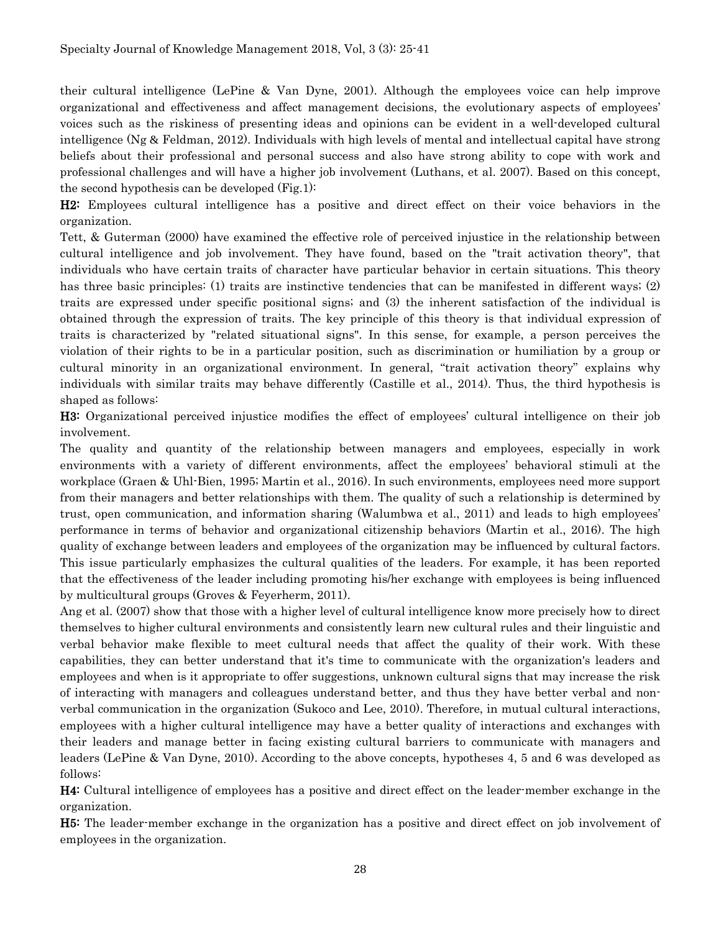their cultural intelligence (LePine & Van Dyne, 2001). Although the employees voice can help improve organizational and effectiveness and affect management decisions, the evolutionary aspects of employees' voices such as the riskiness of presenting ideas and opinions can be evident in a well-developed cultural intelligence (Ng & Feldman, 2012). Individuals with high levels of mental and intellectual capital have strong beliefs about their professional and personal success and also have strong ability to cope with work and professional challenges and will have a higher job involvement (Luthans, et al. 2007). Based on this concept, the second hypothesis can be developed (Fig.1):

H2: Employees cultural intelligence has a positive and direct effect on their voice behaviors in the organization.

Tett, & Guterman (2000) have examined the effective role of perceived injustice in the relationship between cultural intelligence and job involvement. They have found, based on the "trait activation theory", that individuals who have certain traits of character have particular behavior in certain situations. This theory has three basic principles: (1) traits are instinctive tendencies that can be manifested in different ways; (2) traits are expressed under specific positional signs; and (3) the inherent satisfaction of the individual is obtained through the expression of traits. The key principle of this theory is that individual expression of traits is characterized by "related situational signs". In this sense, for example, a person perceives the violation of their rights to be in a particular position, such as discrimination or humiliation by a group or cultural minority in an organizational environment. In general, "trait activation theory" explains why individuals with similar traits may behave differently (Castille et al., 2014). Thus, the third hypothesis is shaped as follows:

H3: Organizational perceived injustice modifies the effect of employees' cultural intelligence on their job involvement.

The quality and quantity of the relationship between managers and employees, especially in work environments with a variety of different environments, affect the employees' behavioral stimuli at the workplace (Graen & Uhl-Bien, 1995; Martin et al., 2016). In such environments, employees need more support from their managers and better relationships with them. The quality of such a relationship is determined by trust, open communication, and information sharing (Walumbwa et al., 2011) and leads to high employees' performance in terms of behavior and organizational citizenship behaviors (Martin et al., 2016). The high quality of exchange between leaders and employees of the organization may be influenced by cultural factors. This issue particularly emphasizes the cultural qualities of the leaders. For example, it has been reported that the effectiveness of the leader including promoting his/her exchange with employees is being influenced by multicultural groups (Groves & Feyerherm, 2011).

Ang et al. (2007) show that those with a higher level of cultural intelligence know more precisely how to direct themselves to higher cultural environments and consistently learn new cultural rules and their linguistic and verbal behavior make flexible to meet cultural needs that affect the quality of their work. With these capabilities, they can better understand that it's time to communicate with the organization's leaders and employees and when is it appropriate to offer suggestions, unknown cultural signs that may increase the risk of interacting with managers and colleagues understand better, and thus they have better verbal and nonverbal communication in the organization (Sukoco and Lee, 2010). Therefore, in mutual cultural interactions, employees with a higher cultural intelligence may have a better quality of interactions and exchanges with their leaders and manage better in facing existing cultural barriers to communicate with managers and leaders (LePine & Van Dyne, 2010). According to the above concepts, hypotheses 4, 5 and 6 was developed as follows:

H4: Cultural intelligence of employees has a positive and direct effect on the leader-member exchange in the organization.

H5: The leader-member exchange in the organization has a positive and direct effect on job involvement of employees in the organization.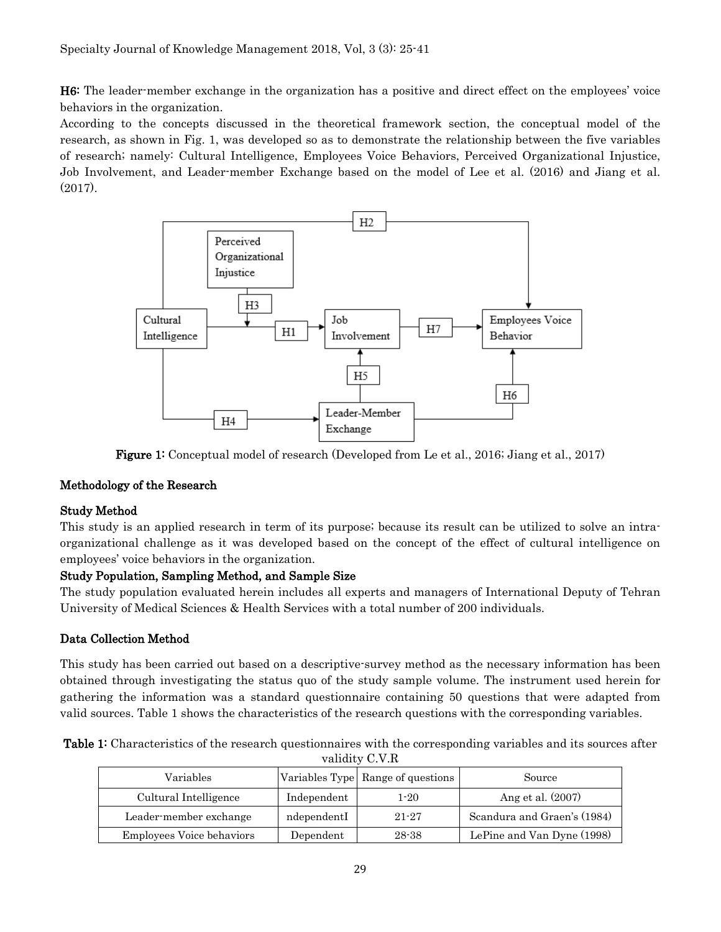H6: The leader-member exchange in the organization has a positive and direct effect on the employees' voice behaviors in the organization.

According to the concepts discussed in the theoretical framework section, the conceptual model of the research, as shown in Fig. 1, was developed so as to demonstrate the relationship between the five variables of research; namely: Cultural Intelligence, Employees Voice Behaviors, Perceived Organizational Injustice, Job Involvement, and Leader-member Exchange based on the model of Lee et al. (2016) and Jiang et al. (2017).



Figure 1: Conceptual model of research (Developed from Le et al., 2016; Jiang et al., 2017)

## Methodology of the Research

## Study Method

This study is an applied research in term of its purpose; because its result can be utilized to solve an intraorganizational challenge as it was developed based on the concept of the effect of cultural intelligence on employees' voice behaviors in the organization.

## Study Population, Sampling Method, and Sample Size

The study population evaluated herein includes all experts and managers of International Deputy of Tehran University of Medical Sciences & Health Services with a total number of 200 individuals.

# Data Collection Method

This study has been carried out based on a descriptive-survey method as the necessary information has been obtained through investigating the status quo of the study sample volume. The instrument used herein for gathering the information was a standard questionnaire containing 50 questions that were adapted from valid sources. Table 1 shows the characteristics of the research questions with the corresponding variables.

| validity C.V.R                   |             |                                   |                             |  |  |  |  |
|----------------------------------|-------------|-----------------------------------|-----------------------------|--|--|--|--|
| Variables                        |             | Variables Type Range of questions | Source                      |  |  |  |  |
| Cultural Intelligence            | Independent | $1 - 20$                          | Ang et al. (2007)           |  |  |  |  |
| Leader-member exchange           | ndependentI | $21 - 27$                         | Scandura and Graen's (1984) |  |  |  |  |
| <b>Employees Voice behaviors</b> | Dependent   | 28-38                             | LePine and Van Dyne (1998)  |  |  |  |  |

Table 1: Characteristics of the research questionnaires with the corresponding variables and its sources after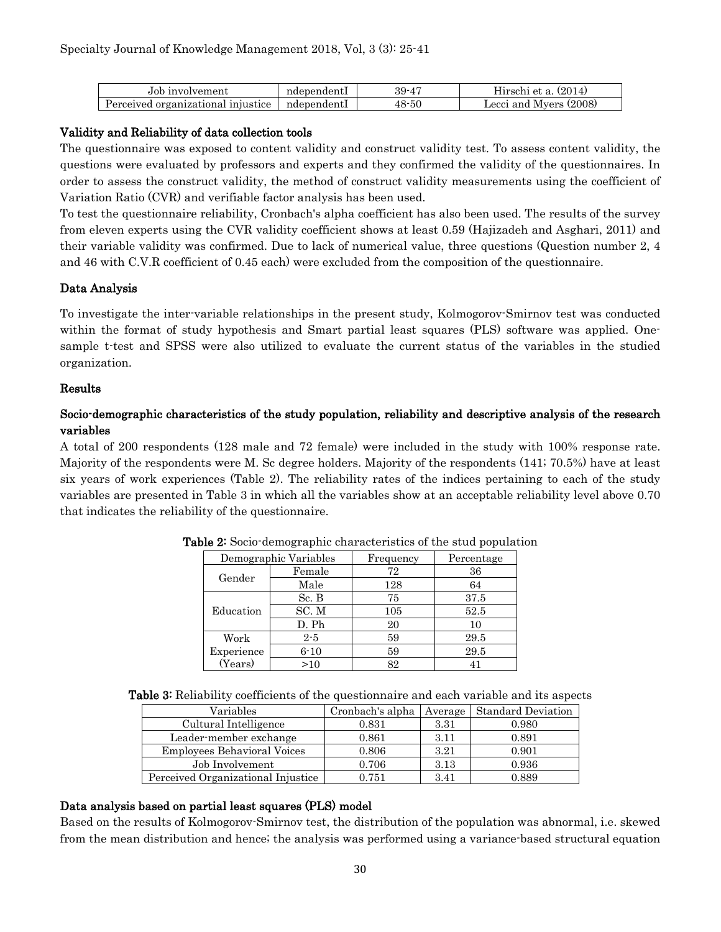| Job involvement                    | ndependentl | 39-47 | (2014)<br>Hirschi et a. |
|------------------------------------|-------------|-------|-------------------------|
| Perceived organizational injustice | ndependentl | 48-50 | Lecci and Mvers (2008)  |

## Validity and Reliability of data collection tools

The questionnaire was exposed to content validity and construct validity test. To assess content validity, the questions were evaluated by professors and experts and they confirmed the validity of the questionnaires. In order to assess the construct validity, the method of construct validity measurements using the coefficient of Variation Ratio (CVR) and verifiable factor analysis has been used.

To test the questionnaire reliability, Cronbach's alpha coefficient has also been used. The results of the survey from eleven experts using the CVR validity coefficient shows at least 0.59 (Hajizadeh and Asghari, 2011) and their variable validity was confirmed. Due to lack of numerical value, three questions (Question number 2, 4 and 46 with C.V.R coefficient of 0.45 each) were excluded from the composition of the questionnaire.

### Data Analysis

To investigate the inter-variable relationships in the present study, Kolmogorov-Smirnov test was conducted within the format of study hypothesis and Smart partial least squares (PLS) software was applied. Onesample t-test and SPSS were also utilized to evaluate the current status of the variables in the studied organization.

### Results

## Socio-demographic characteristics of the study population, reliability and descriptive analysis of the research variables

A total of 200 respondents (128 male and 72 female) were included in the study with 100% response rate. Majority of the respondents were M. Sc degree holders. Majority of the respondents (141; 70.5%) have at least six years of work experiences (Table 2). The reliability rates of the indices pertaining to each of the study variables are presented in Table 3 in which all the variables show at an acceptable reliability level above 0.70 that indicates the reliability of the questionnaire.

|            | Demographic Variables | Frequency | Percentage |
|------------|-----------------------|-----------|------------|
| Gender     | Female                | 72        | 36         |
|            | Male                  | 128       | 64         |
|            | Sc. B                 | 75        | 37.5       |
| Education  | SC.M                  | 105       | 52.5       |
|            | D. Ph                 | 20        | 10         |
| Work       | $2 - 5$               | 59        | 29.5       |
| Experience | $6 - 10$              | 59        | 29.5       |
| (Years)    | >10                   | 82        | 41         |

Table 2: Socio-demographic characteristics of the stud population

Table 3: Reliability coefficients of the questionnaire and each variable and its aspects

| Variables                          | Cronbach's alpha | Average | <b>Standard Deviation</b> |
|------------------------------------|------------------|---------|---------------------------|
| Cultural Intelligence              | 0.831            | 3.31    | 0.980                     |
| Leader-member exchange             | 0.861            | 3.11    | 0.891                     |
| <b>Employees Behavioral Voices</b> | 0.806            | 3.21    | 0.901                     |
| Job Involvement                    | 0.706            | 3.13    | 0.936                     |
| Perceived Organizational Injustice | 0.751            | 3.41    | 0.889                     |

## Data analysis based on partial least squares (PLS) model

Based on the results of Kolmogorov-Smirnov test, the distribution of the population was abnormal, i.e. skewed from the mean distribution and hence; the analysis was performed using a variance-based structural equation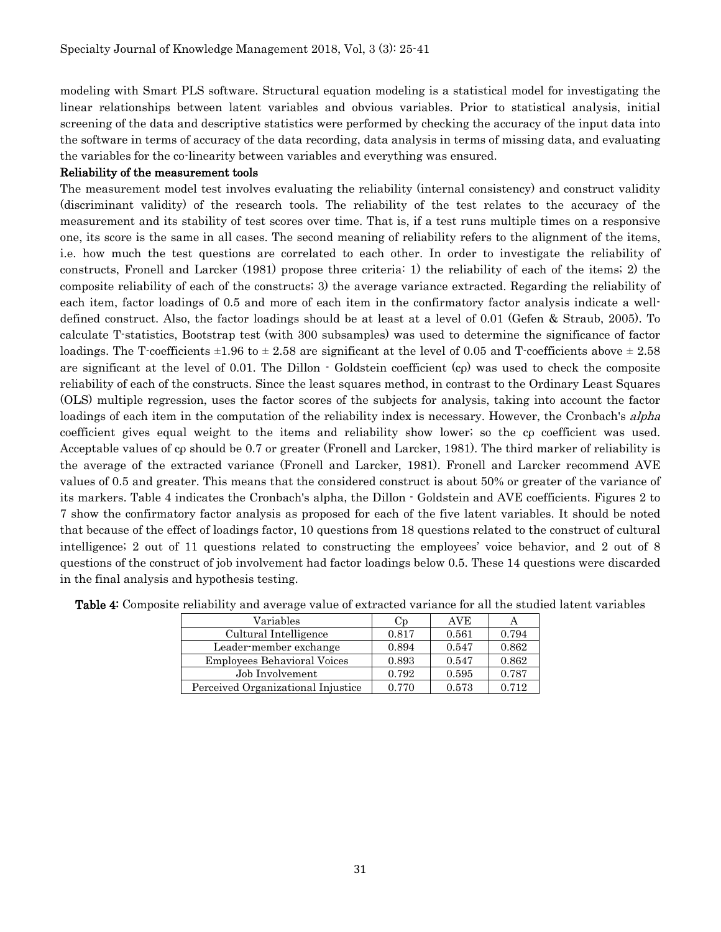modeling with Smart PLS software. Structural equation modeling is a statistical model for investigating the linear relationships between latent variables and obvious variables. Prior to statistical analysis, initial screening of the data and descriptive statistics were performed by checking the accuracy of the input data into the software in terms of accuracy of the data recording, data analysis in terms of missing data, and evaluating the variables for the co-linearity between variables and everything was ensured.

#### Reliability of the measurement tools

The measurement model test involves evaluating the reliability (internal consistency) and construct validity (discriminant validity) of the research tools. The reliability of the test relates to the accuracy of the measurement and its stability of test scores over time. That is, if a test runs multiple times on a responsive one, its score is the same in all cases. The second meaning of reliability refers to the alignment of the items, i.e. how much the test questions are correlated to each other. In order to investigate the reliability of constructs, Fronell and Larcker (1981) propose three criteria: 1) the reliability of each of the items; 2) the composite reliability of each of the constructs; 3) the average variance extracted. Regarding the reliability of each item, factor loadings of 0.5 and more of each item in the confirmatory factor analysis indicate a welldefined construct. Also, the factor loadings should be at least at a level of 0.01 (Gefen & Straub, 2005). To calculate T-statistics, Bootstrap test (with 300 subsamples) was used to determine the significance of factor loadings. The T-coefficients  $\pm 1.96$  to  $\pm 2.58$  are significant at the level of 0.05 and T-coefficients above  $\pm 2.58$ are significant at the level of 0.01. The Dillon - Goldstein coefficient (cρ) was used to check the composite reliability of each of the constructs. Since the least squares method, in contrast to the Ordinary Least Squares (OLS) multiple regression, uses the factor scores of the subjects for analysis, taking into account the factor loadings of each item in the computation of the reliability index is necessary. However, the Cronbach's *alpha* coefficient gives equal weight to the items and reliability show lower; so the cρ coefficient was used. Acceptable values of cρ should be 0.7 or greater (Fronell and Larcker, 1981). The third marker of reliability is the average of the extracted variance (Fronell and Larcker, 1981). Fronell and Larcker recommend AVE values of 0.5 and greater. This means that the considered construct is about 50% or greater of the variance of its markers. Table 4 indicates the Cronbach's alpha, the Dillon - Goldstein and AVE coefficients. Figures 2 to 7 show the confirmatory factor analysis as proposed for each of the five latent variables. It should be noted that because of the effect of loadings factor, 10 questions from 18 questions related to the construct of cultural intelligence; 2 out of 11 questions related to constructing the employees' voice behavior, and 2 out of 8 questions of the construct of job involvement had factor loadings below 0.5. These 14 questions were discarded in the final analysis and hypothesis testing.

| Variables                          | Сp    | <b>AVE</b> |       |
|------------------------------------|-------|------------|-------|
| Cultural Intelligence              | 0.817 | 0.561      | 0.794 |
| Leader-member exchange             | 0.894 | 0.547      | 0.862 |
| <b>Employees Behavioral Voices</b> | 0.893 | 0.547      | 0.862 |
| Job Involvement                    | 0.792 | 0.595      | 0.787 |
| Perceived Organizational Injustice | 0.770 | 0.573      | 0.712 |

Table 4: Composite reliability and average value of extracted variance for all the studied latent variables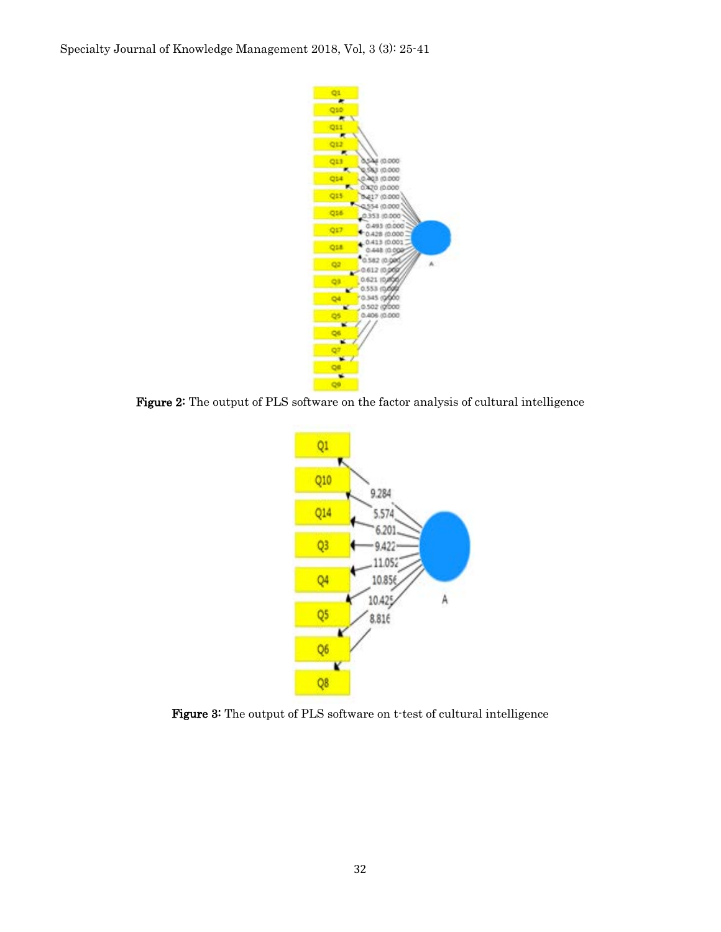

Figure 2: The output of PLS software on the factor analysis of cultural intelligence



Figure 3: The output of PLS software on t-test of cultural intelligence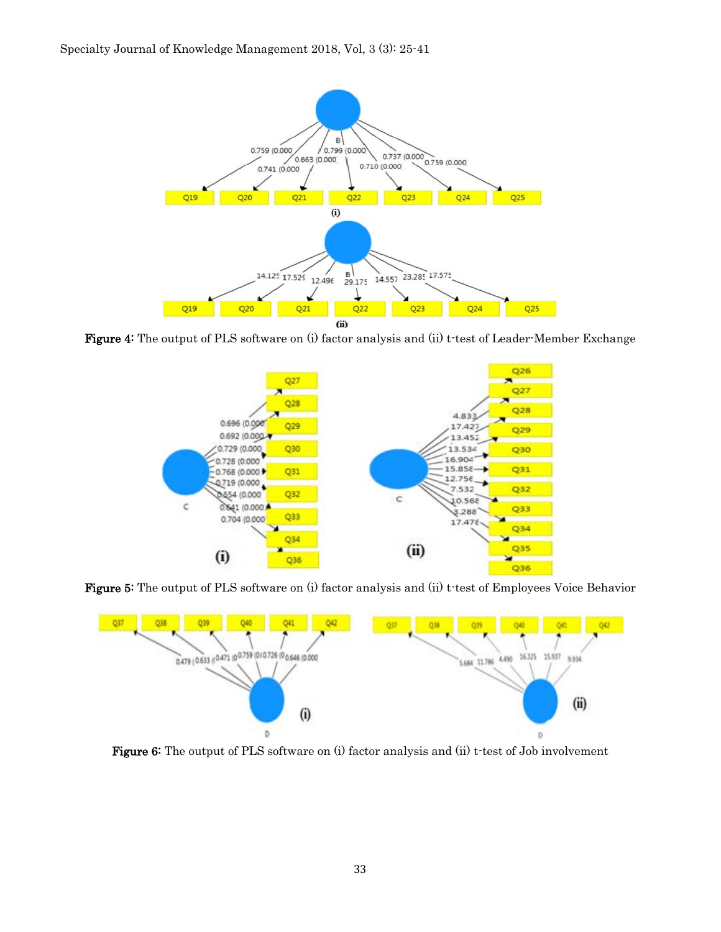

Figure 4: The output of PLS software on (i) factor analysis and (ii) t-test of Leader-Member Exchange



Figure 5: The output of PLS software on (i) factor analysis and (ii) t-test of Employees Voice Behavior



Figure 6: The output of PLS software on (i) factor analysis and (ii) t-test of Job involvement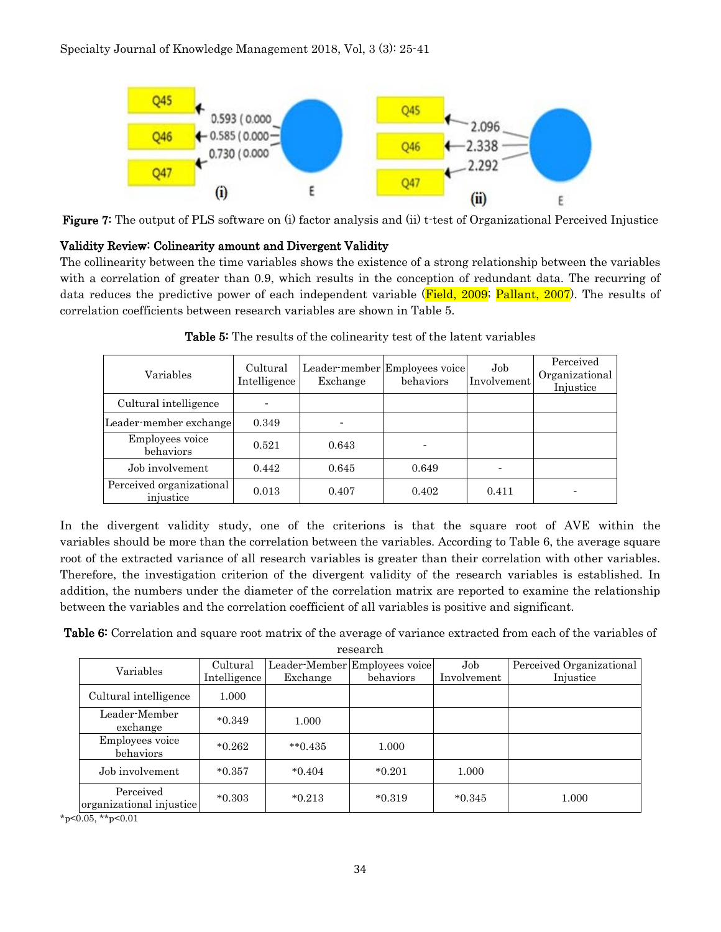

Figure 7: The output of PLS software on (i) factor analysis and (ii) t-test of Organizational Perceived Injustice

## Validity Review: Colinearity amount and Divergent Validity

The collinearity between the time variables shows the existence of a strong relationship between the variables with a correlation of greater than 0.9, which results in the conception of redundant data. The recurring of data reduces the predictive power of each independent variable (Field, 2009; Pallant, 2007). The results of correlation coefficients between research variables are shown in Table 5.

| Variables                             | Cultural<br>Intelligence | Exchange | Leader-member Employees voice<br>behaviors | Job.<br>Involvement | Perceived<br>Organizational<br>Injustice |
|---------------------------------------|--------------------------|----------|--------------------------------------------|---------------------|------------------------------------------|
| Cultural intelligence                 |                          |          |                                            |                     |                                          |
| Leader-member exchange                | 0.349                    |          |                                            |                     |                                          |
| Employees voice<br>behaviors          | 0.521                    | 0.643    |                                            |                     |                                          |
| Job involvement                       | 0.442                    | 0.645    | 0.649                                      |                     |                                          |
| Perceived organizational<br>injustice | 0.013                    | 0.407    | 0.402                                      | 0.411               |                                          |

Table 5: The results of the colinearity test of the latent variables

In the divergent validity study, one of the criterions is that the square root of AVE within the variables should be more than the correlation between the variables. According to Table 6, the average square root of the extracted variance of all research variables is greater than their correlation with other variables. Therefore, the investigation criterion of the divergent validity of the research variables is established. In addition, the numbers under the diameter of the correlation matrix are reported to examine the relationship between the variables and the correlation coefficient of all variables is positive and significant.

Table 6: Correlation and square root matrix of the average of variance extracted from each of the variables of

| research |
|----------|
|----------|

| Variables                             | Cultural<br>Intelligence | Exchange      | Leader-Member Employees voice<br>behaviors | Job<br>Involvement | Perceived Organizational<br>Injustice |  |
|---------------------------------------|--------------------------|---------------|--------------------------------------------|--------------------|---------------------------------------|--|
|                                       |                          |               |                                            |                    |                                       |  |
| Cultural intelligence                 | 1.000                    |               |                                            |                    |                                       |  |
| Leader-Member<br>exchange             | $*0.349$                 | 1.000         |                                            |                    |                                       |  |
| Employees voice<br>behaviors          | $*0.262$                 | $*$ $*$ 0.435 | 1.000                                      |                    |                                       |  |
| Job involvement                       | $*0.357$                 | $*0.404$      | $*0.201$                                   | 1.000              |                                       |  |
| Perceived<br>organizational injustice | $*0.303$                 | $*0.213$      | $*0.319$                                   | $*0.345$           | 1.000                                 |  |

 $*_{p<0.05,}$  \*\*p<0.01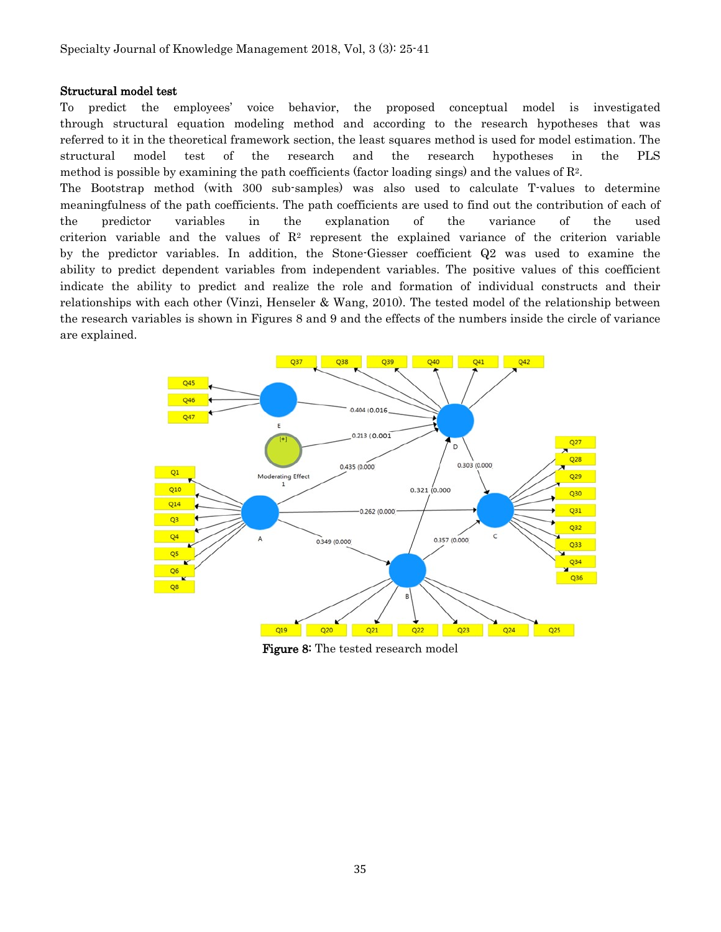#### Structural model test

To predict the employees' voice behavior, the proposed conceptual model is investigated through structural equation modeling method and according to the research hypotheses that was referred to it in the theoretical framework section, the least squares method is used for model estimation. The structural model test of the research and the research hypotheses in the PLS method is possible by examining the path coefficients (factor loading sings) and the values of  $\mathbb{R}^2$ .

The Bootstrap method (with 300 sub-samples) was also used to calculate T-values to determine meaningfulness of the path coefficients. The path coefficients are used to find out the contribution of each of the predictor variables in the explanation of the variance of the used criterion variable and the values of  $\mathbb{R}^2$  represent the explained variance of the criterion variable by the predictor variables. In addition, the Stone-Giesser coefficient Q2 was used to examine the ability to predict dependent variables from independent variables. The positive values of this coefficient indicate the ability to predict and realize the role and formation of individual constructs and their relationships with each other (Vinzi, Henseler & Wang, 2010). The tested model of the relationship between the research variables is shown in Figures 8 and 9 and the effects of the numbers inside the circle of variance are explained.



Figure 8: The tested research model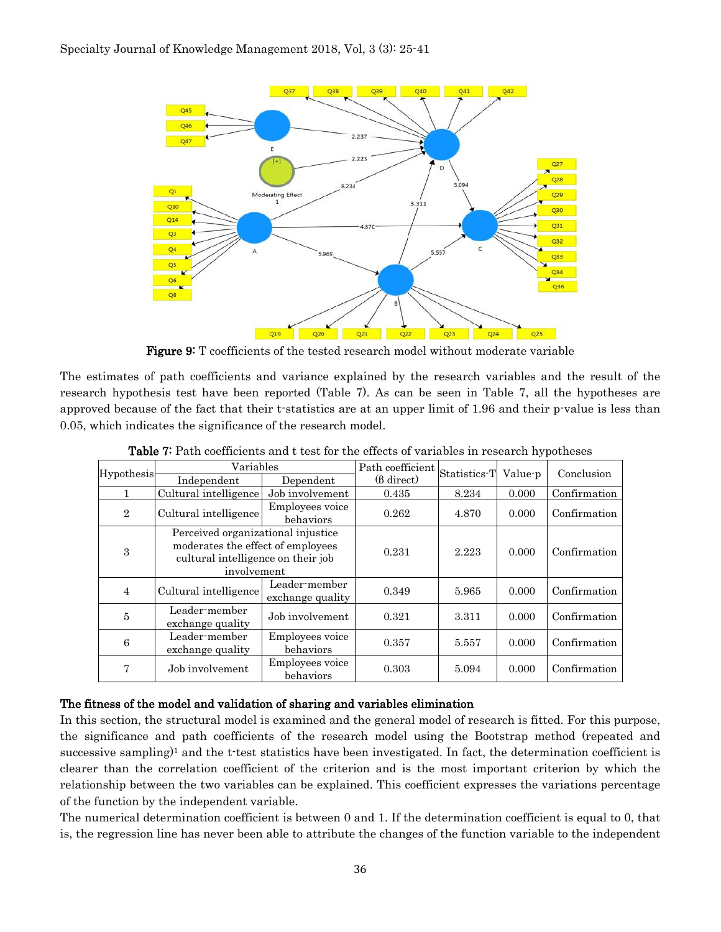

Figure 9: T coefficients of the tested research model without moderate variable

The estimates of path coefficients and variance explained by the research variables and the result of the research hypothesis test have been reported (Table 7). As can be seen in Table 7, all the hypotheses are approved because of the fact that their t-statistics are at an upper limit of 1.96 and their p-value is less than 0.05, which indicates the significance of the research model.

| Hypothesis     | Variables                                                                                                                    |                                   | Path coefficient     | Statistics T | Value-p | Conclusion   |
|----------------|------------------------------------------------------------------------------------------------------------------------------|-----------------------------------|----------------------|--------------|---------|--------------|
|                | Independent                                                                                                                  | Dependent                         | $(6 \text{ direct})$ |              |         |              |
|                | Cultural intelligence                                                                                                        | Job involvement                   | 0.435                | 8.234        | 0.000   | Confirmation |
| $\overline{2}$ | Cultural intelligence                                                                                                        | Employees voice<br>behaviors      | 0.262                | 4.870        | 0.000   | Confirmation |
| 3              | Perceived organizational injustice<br>moderates the effect of employees<br>cultural intelligence on their job<br>involvement |                                   | 0.231                | 2.223        | 0.000   | Confirmation |
| $\overline{4}$ | Cultural intelligence                                                                                                        | Leader-member<br>exchange quality | 0.349                | 5.965        | 0.000   | Confirmation |
| 5              | Leader-member<br>exchange quality                                                                                            | Job involvement                   | 0.321                | 3.311        | 0.000   | Confirmation |
| 6              | Leader-member<br>exchange quality                                                                                            | Employees voice<br>behaviors      | 0.357                | 5.557        | 0.000   | Confirmation |
| 7              | Job involvement                                                                                                              | Employees voice<br>behaviors      | 0.303                | 5.094        | 0.000   | Confirmation |

Table 7: Path coefficients and t test for the effects of variables in research hypotheses

### The fitness of the model and validation of sharing and variables elimination

In this section, the structural model is examined and the general model of research is fitted. For this purpose, the significance and path coefficients of the research model using the Bootstrap method (repeated and successive sampling)<sup>1</sup> and the t-test statistics have been investigated. In fact, the determination coefficient is clearer than the correlation coefficient of the criterion and is the most important criterion by which the relationship between the two variables can be explained. This coefficient expresses the variations percentage of the function by the independent variable.

The numerical determination coefficient is between 0 and 1. If the determination coefficient is equal to 0, that is, the regression line has never been able to attribute the changes of the function variable to the independent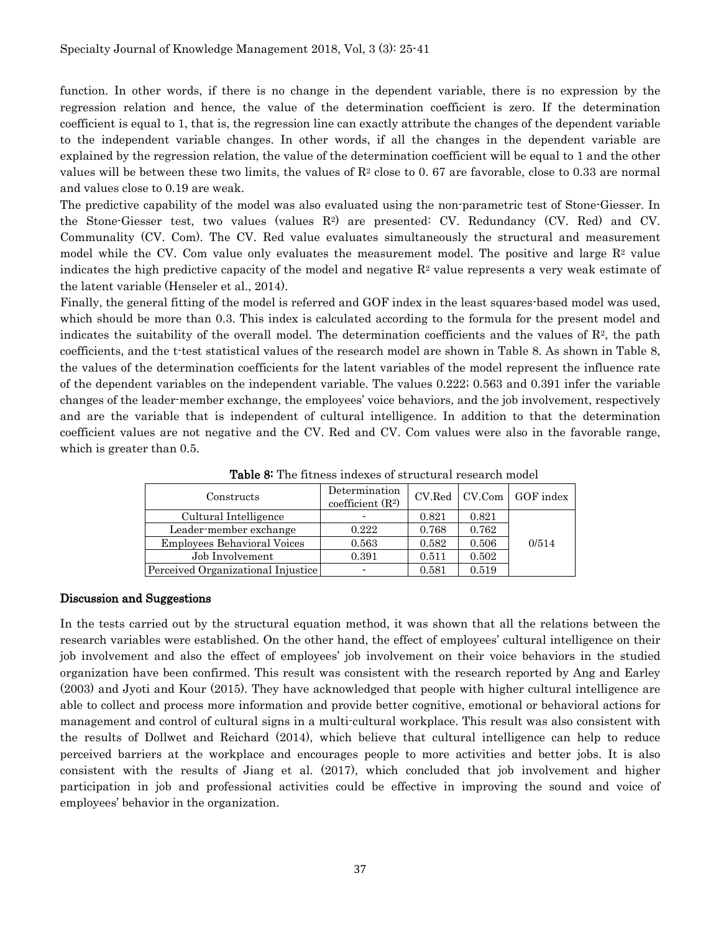function. In other words, if there is no change in the dependent variable, there is no expression by the regression relation and hence, the value of the determination coefficient is zero. If the determination coefficient is equal to 1, that is, the regression line can exactly attribute the changes of the dependent variable to the independent variable changes. In other words, if all the changes in the dependent variable are explained by the regression relation, the value of the determination coefficient will be equal to 1 and the other values will be between these two limits, the values of  $R<sup>2</sup>$  close to 0.67 are favorable, close to 0.33 are normal and values close to 0.19 are weak.

The predictive capability of the model was also evaluated using the non-parametric test of Stone-Giesser. In the Stone-Giesser test, two values (values R2) are presented: CV. Redundancy (CV. Red) and CV. Communality (CV. Com). The CV. Red value evaluates simultaneously the structural and measurement model while the CV. Com value only evaluates the measurement model. The positive and large  $\mathbb{R}^2$  value indicates the high predictive capacity of the model and negative  $\mathbb{R}^2$  value represents a very weak estimate of the latent variable (Henseler et al., 2014).

Finally, the general fitting of the model is referred and GOF index in the least squares-based model was used, which should be more than 0.3. This index is calculated according to the formula for the present model and indicates the suitability of the overall model. The determination coefficients and the values of  $\mathbb{R}^2$ , the path coefficients, and the t-test statistical values of the research model are shown in Table 8. As shown in Table 8, the values of the determination coefficients for the latent variables of the model represent the influence rate of the dependent variables on the independent variable. The values 0.222; 0.563 and 0.391 infer the variable changes of the leader-member exchange, the employees' voice behaviors, and the job involvement, respectively and are the variable that is independent of cultural intelligence. In addition to that the determination coefficient values are not negative and the CV. Red and CV. Com values were also in the favorable range, which is greater than 0.5.

| Constructs                         | Determination<br>coefficient $(R2)$ |       |       | CV.Red   CV.Com   GOF index |
|------------------------------------|-------------------------------------|-------|-------|-----------------------------|
| Cultural Intelligence              |                                     | 0.821 | 0.821 |                             |
| Leader-member exchange             | 0.222                               | 0.768 | 0.762 |                             |
| <b>Employees Behavioral Voices</b> | 0.563                               | 0.582 | 0.506 | 0/514                       |
| Job Involvement                    | 0.391                               | 0.511 | 0.502 |                             |
| Perceived Organizational Injustice |                                     | 0.581 | 0.519 |                             |

Table 8: The fitness indexes of structural research model

#### Discussion and Suggestions

In the tests carried out by the structural equation method, it was shown that all the relations between the research variables were established. On the other hand, the effect of employees' cultural intelligence on their job involvement and also the effect of employees' job involvement on their voice behaviors in the studied organization have been confirmed. This result was consistent with the research reported by Ang and Earley (2003) and Jyoti and Kour (2015). They have acknowledged that people with higher cultural intelligence are able to collect and process more information and provide better cognitive, emotional or behavioral actions for management and control of cultural signs in a multi-cultural workplace. This result was also consistent with the results of Dollwet and Reichard (2014), which believe that cultural intelligence can help to reduce perceived barriers at the workplace and encourages people to more activities and better jobs. It is also consistent with the results of Jiang et al. (2017), which concluded that job involvement and higher participation in job and professional activities could be effective in improving the sound and voice of employees' behavior in the organization.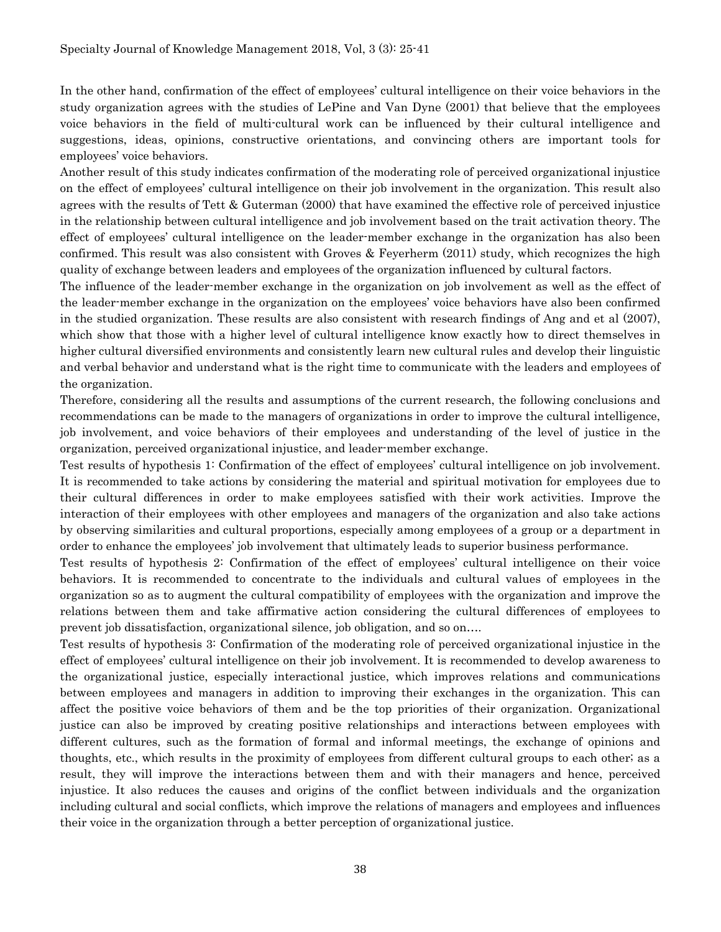In the other hand, confirmation of the effect of employees' cultural intelligence on their voice behaviors in the study organization agrees with the studies of LePine and Van Dyne (2001) that believe that the employees voice behaviors in the field of multi-cultural work can be influenced by their cultural intelligence and suggestions, ideas, opinions, constructive orientations, and convincing others are important tools for employees' voice behaviors.

Another result of this study indicates confirmation of the moderating role of perceived organizational injustice on the effect of employees' cultural intelligence on their job involvement in the organization. This result also agrees with the results of Tett & Guterman (2000) that have examined the effective role of perceived injustice in the relationship between cultural intelligence and job involvement based on the trait activation theory. The effect of employees' cultural intelligence on the leader-member exchange in the organization has also been confirmed. This result was also consistent with Groves & Feyerherm (2011) study, which recognizes the high quality of exchange between leaders and employees of the organization influenced by cultural factors.

The influence of the leader-member exchange in the organization on job involvement as well as the effect of the leader-member exchange in the organization on the employees' voice behaviors have also been confirmed in the studied organization. These results are also consistent with research findings of Ang and et al (2007), which show that those with a higher level of cultural intelligence know exactly how to direct themselves in higher cultural diversified environments and consistently learn new cultural rules and develop their linguistic and verbal behavior and understand what is the right time to communicate with the leaders and employees of the organization.

Therefore, considering all the results and assumptions of the current research, the following conclusions and recommendations can be made to the managers of organizations in order to improve the cultural intelligence, job involvement, and voice behaviors of their employees and understanding of the level of justice in the organization, perceived organizational injustice, and leader-member exchange.

Test results of hypothesis 1: Confirmation of the effect of employees' cultural intelligence on job involvement. It is recommended to take actions by considering the material and spiritual motivation for employees due to their cultural differences in order to make employees satisfied with their work activities. Improve the interaction of their employees with other employees and managers of the organization and also take actions by observing similarities and cultural proportions, especially among employees of a group or a department in order to enhance the employees' job involvement that ultimately leads to superior business performance.

Test results of hypothesis 2: Confirmation of the effect of employees' cultural intelligence on their voice behaviors. It is recommended to concentrate to the individuals and cultural values of employees in the organization so as to augment the cultural compatibility of employees with the organization and improve the relations between them and take affirmative action considering the cultural differences of employees to prevent job dissatisfaction, organizational silence, job obligation, and so on….

Test results of hypothesis 3: Confirmation of the moderating role of perceived organizational injustice in the effect of employees' cultural intelligence on their job involvement. It is recommended to develop awareness to the organizational justice, especially interactional justice, which improves relations and communications between employees and managers in addition to improving their exchanges in the organization. This can affect the positive voice behaviors of them and be the top priorities of their organization. Organizational justice can also be improved by creating positive relationships and interactions between employees with different cultures, such as the formation of formal and informal meetings, the exchange of opinions and thoughts, etc., which results in the proximity of employees from different cultural groups to each other; as a result, they will improve the interactions between them and with their managers and hence, perceived injustice. It also reduces the causes and origins of the conflict between individuals and the organization including cultural and social conflicts, which improve the relations of managers and employees and influences their voice in the organization through a better perception of organizational justice.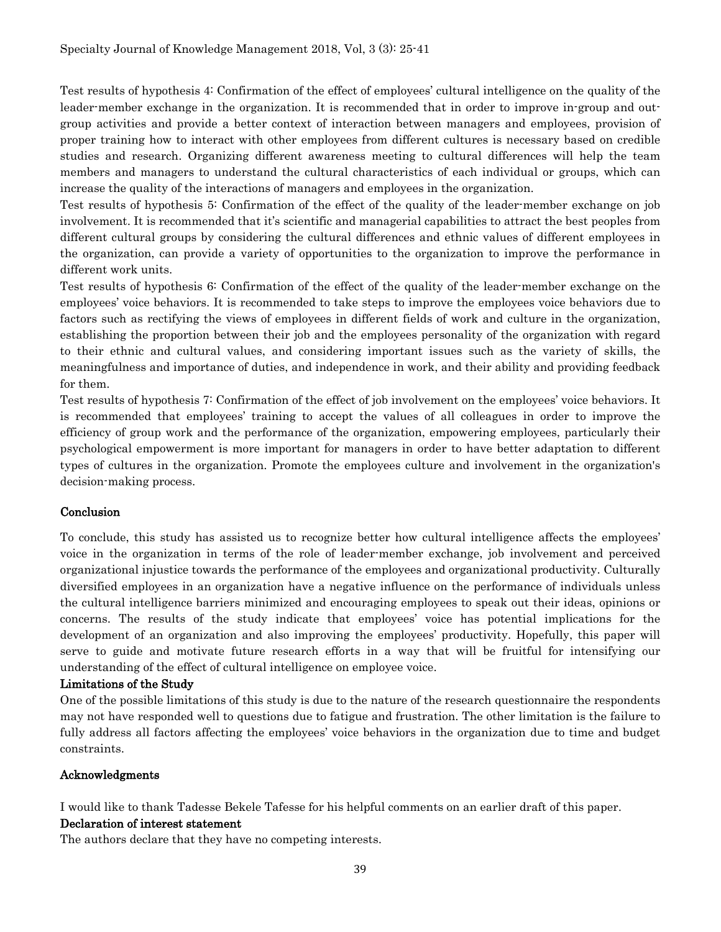Test results of hypothesis 4: Confirmation of the effect of employees' cultural intelligence on the quality of the leader-member exchange in the organization. It is recommended that in order to improve in-group and outgroup activities and provide a better context of interaction between managers and employees, provision of proper training how to interact with other employees from different cultures is necessary based on credible studies and research. Organizing different awareness meeting to cultural differences will help the team members and managers to understand the cultural characteristics of each individual or groups, which can increase the quality of the interactions of managers and employees in the organization.

Test results of hypothesis 5: Confirmation of the effect of the quality of the leader-member exchange on job involvement. It is recommended that it's scientific and managerial capabilities to attract the best peoples from different cultural groups by considering the cultural differences and ethnic values of different employees in the organization, can provide a variety of opportunities to the organization to improve the performance in different work units.

Test results of hypothesis 6: Confirmation of the effect of the quality of the leader-member exchange on the employees' voice behaviors. It is recommended to take steps to improve the employees voice behaviors due to factors such as rectifying the views of employees in different fields of work and culture in the organization, establishing the proportion between their job and the employees personality of the organization with regard to their ethnic and cultural values, and considering important issues such as the variety of skills, the meaningfulness and importance of duties, and independence in work, and their ability and providing feedback for them.

Test results of hypothesis 7: Confirmation of the effect of job involvement on the employees' voice behaviors. It is recommended that employees' training to accept the values of all colleagues in order to improve the efficiency of group work and the performance of the organization, empowering employees, particularly their psychological empowerment is more important for managers in order to have better adaptation to different types of cultures in the organization. Promote the employees culture and involvement in the organization's decision-making process.

## **Conclusion**

To conclude, this study has assisted us to recognize better how cultural intelligence affects the employees' voice in the organization in terms of the role of leader-member exchange, job involvement and perceived organizational injustice towards the performance of the employees and organizational productivity. Culturally diversified employees in an organization have a negative influence on the performance of individuals unless the cultural intelligence barriers minimized and encouraging employees to speak out their ideas, opinions or concerns. The results of the study indicate that employees' voice has potential implications for the development of an organization and also improving the employees' productivity. Hopefully, this paper will serve to guide and motivate future research efforts in a way that will be fruitful for intensifying our understanding of the effect of cultural intelligence on employee voice.

### Limitations of the Study

One of the possible limitations of this study is due to the nature of the research questionnaire the respondents may not have responded well to questions due to fatigue and frustration. The other limitation is the failure to fully address all factors affecting the employees' voice behaviors in the organization due to time and budget constraints.

### Acknowledgments

I would like to thank Tadesse Bekele Tafesse for his helpful comments on an earlier draft of this paper.

### Declaration of interest statement

The authors declare that they have no competing interests.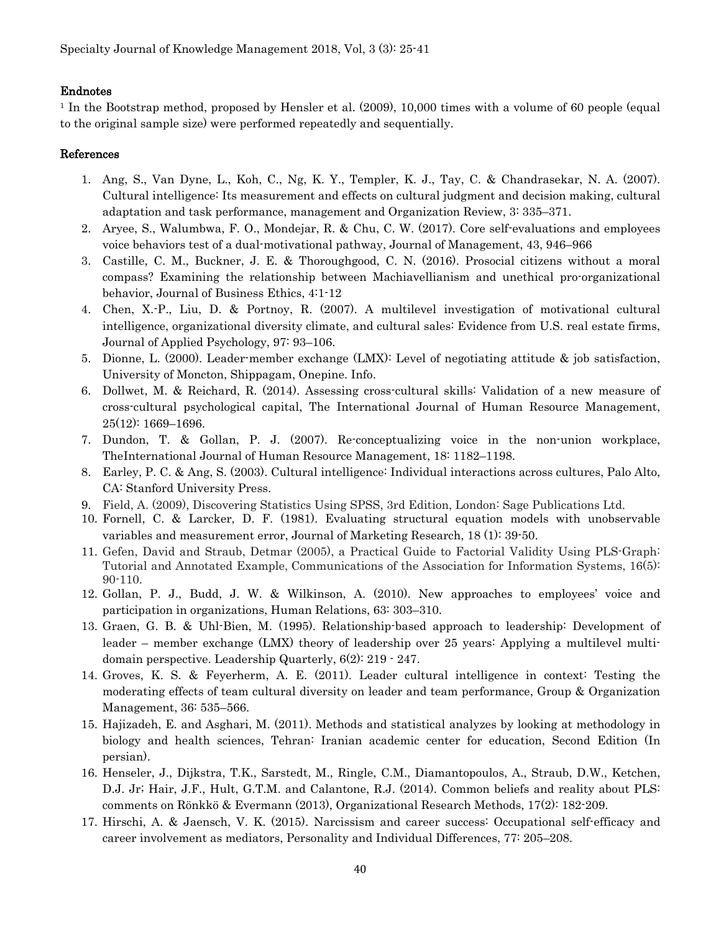### Endnotes

<sup>1</sup> In the Bootstrap method, proposed by Hensler et al. (2009), 10,000 times with a volume of 60 people (equal to the original sample size) were performed repeatedly and sequentially.

### References

- 1. Ang, S., Van Dyne, L., Koh, C., Ng, K. Y., Templer, K. J., Tay, C. & Chandrasekar, N. A. (2007). Cultural intelligence: Its measurement and effects on cultural judgment and decision making, cultural adaptation and task performance, management and Organization Review, 3: 335–371.
- 2. Aryee, S., Walumbwa, F. O., Mondejar, R. & Chu, C. W. (2017). Core self-evaluations and employees voice behaviors test of a dual-motivational pathway, Journal of Management, 43, 946–966
- 3. Castille, C. M., Buckner, J. E. & Thoroughgood, C. N. (2016). Prosocial citizens without a moral compass? Examining the relationship between Machiavellianism and unethical pro-organizational behavior, Journal of Business Ethics, 4:1-12
- 4. Chen, X.-P., Liu, D. & Portnoy, R. (2007). A multilevel investigation of motivational cultural intelligence, organizational diversity climate, and cultural sales: Evidence from U.S. real estate firms, Journal of Applied Psychology, 97: 93–106.
- 5. Dionne, L. (2000). Leader-member exchange (LMX): Level of negotiating attitude & job satisfaction, University of Moncton, Shippagam, Onepine. Info.
- 6. Dollwet, M. & Reichard, R. (2014). Assessing cross-cultural skills: Validation of a new measure of cross-cultural psychological capital, The International Journal of Human Resource Management, 25(12): 1669–1696.
- 7. Dundon, T. & Gollan, P. J. (2007). Re-conceptualizing voice in the non-union workplace, TheInternational Journal of Human Resource Management, 18: 1182–1198.
- 8. Earley, P. C. & Ang, S. (2003). Cultural intelligence: Individual interactions across cultures, Palo Alto, CA: Stanford University Press.
- 9. Field, A. (2009), Discovering Statistics Using SPSS, 3rd Edition, London: Sage Publications Ltd.
- 10. Fornell, C. & Larcker, D. F. (1981). Evaluating structural equation models with unobservable variables and measurement error, Journal of Marketing Research, 18 (1): 39-50.
- 11. Gefen, David and Straub, Detmar (2005), a Practical Guide to Factorial Validity Using PLS-Graph: Tutorial and Annotated Example, Communications of the Association for Information Systems, 16(5): 90-110.
- 12. Gollan, P. J., Budd, J. W. & Wilkinson, A. (2010). New approaches to employees' voice and participation in organizations, Human Relations, 63: 303–310.
- 13. Graen, G. B. & Uhl-Bien, M. (1995). Relationship-based approach to leadership: Development of leader – member exchange (LMX) theory of leadership over 25 years: Applying a multilevel multidomain perspective. Leadership Quarterly, 6(2): 219 - 247.
- 14. Groves, K. S. & Feyerherm, A. E. (2011). Leader cultural intelligence in context: Testing the moderating effects of team cultural diversity on leader and team performance, Group & Organization Management, 36: 535–566.
- 15. Hajizadeh, E. and Asghari, M. (2011). Methods and statistical analyzes by looking at methodology in biology and health sciences, Tehran: Iranian academic center for education, Second Edition (In persian).
- 16. Henseler, J., Dijkstra, T.K., Sarstedt, M., Ringle, C.M., Diamantopoulos, A., Straub, D.W., Ketchen, D.J. Jr; Hair, J.F., Hult, G.T.M. and Calantone, R.J. (2014). Common beliefs and reality about PLS: comments on Rönkkö & Evermann (2013), Organizational Research Methods, 17(2): 182-209.
- 17. Hirschi, A. & Jaensch, V. K. (2015). Narcissism and career success: Occupational self-efficacy and career involvement as mediators, Personality and Individual Differences, 77: 205–208.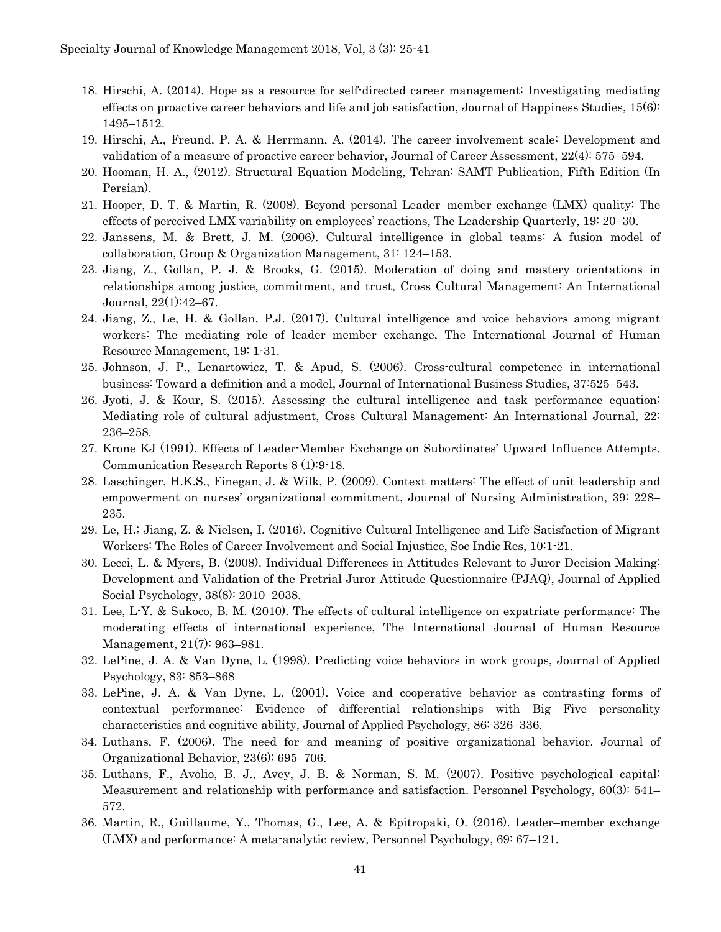- 18. Hirschi, A. (2014). Hope as a resource for self-directed career management: Investigating mediating effects on proactive career behaviors and life and job satisfaction, Journal of Happiness Studies, 15(6): 1495–1512.
- 19. Hirschi, A., Freund, P. A. & Herrmann, A. (2014). The career involvement scale: Development and validation of a measure of proactive career behavior, Journal of Career Assessment, 22(4): 575–594.
- 20. Hooman, H. A., (2012). Structural Equation Modeling, Tehran: SAMT Publication, Fifth Edition (In Persian).
- 21. Hooper, D. T. & Martin, R. (2008). Beyond personal Leader–member exchange (LMX) quality: The effects of perceived LMX variability on employees' reactions, The Leadership Quarterly, 19: 20–30.
- 22. Janssens, M. & Brett, J. M. (2006). Cultural intelligence in global teams: A fusion model of collaboration, Group & Organization Management, 31: 124–153.
- 23. Jiang, Z., Gollan, P. J. & Brooks, G. (2015). Moderation of doing and mastery orientations in relationships among justice, commitment, and trust, Cross Cultural Management: An International Journal, 22(1):42–67.
- 24. Jiang, Z., Le, H. & Gollan, P.J. (2017). Cultural intelligence and voice behaviors among migrant workers: The mediating role of leader–member exchange, The International Journal of Human Resource Management, 19: 1-31.
- 25. Johnson, J. P., Lenartowicz, T. & Apud, S. (2006). Cross-cultural competence in international business: Toward a definition and a model, Journal of International Business Studies, 37:525–543.
- 26. Jyoti, J. & Kour, S. (2015). Assessing the cultural intelligence and task performance equation: Mediating role of cultural adjustment, Cross Cultural Management: An International Journal, 22: 236–258.
- 27. Krone KJ (1991). Effects of Leader-Member Exchange on Subordinates' Upward Influence Attempts. Communication Research Reports 8 (1):9-18.
- 28. Laschinger, H.K.S., Finegan, J. & Wilk, P. (2009). Context matters: The effect of unit leadership and empowerment on nurses' organizational commitment, Journal of Nursing Administration, 39: 228– 235.
- 29. Le, H.; Jiang, Z. & Nielsen, I. (2016). Cognitive Cultural Intelligence and Life Satisfaction of Migrant Workers: The Roles of Career Involvement and Social Injustice, Soc Indic Res, 10:1-21.
- 30. Lecci, L. & Myers, B. (2008). Individual Differences in Attitudes Relevant to Juror Decision Making: Development and Validation of the Pretrial Juror Attitude Questionnaire (PJAQ), Journal of Applied Social Psychology, 38(8): 2010–2038.
- 31. Lee, L-Y. & Sukoco, B. M. (2010). The effects of cultural intelligence on expatriate performance: The moderating effects of international experience, The International Journal of Human Resource Management, 21(7): 963–981.
- 32. LePine, J. A. & Van Dyne, L. (1998). Predicting voice behaviors in work groups, Journal of Applied Psychology, 83: 853–868
- 33. LePine, J. A. & Van Dyne, L. (2001). Voice and cooperative behavior as contrasting forms of contextual performance: Evidence of differential relationships with Big Five personality characteristics and cognitive ability, Journal of Applied Psychology, 86: 326–336.
- 34. Luthans, F. (2006). The need for and meaning of positive organizational behavior. Journal of Organizational Behavior, 23(6): 695–706.
- 35. Luthans, F., Avolio, B. J., Avey, J. B. & Norman, S. M. (2007). Positive psychological capital: Measurement and relationship with performance and satisfaction. Personnel Psychology, 60(3): 541– 572.
- 36. Martin, R., Guillaume, Y., Thomas, G., Lee, A. & Epitropaki, O. (2016). Leader–member exchange (LMX) and performance: A meta-analytic review, Personnel Psychology, 69: 67–121.